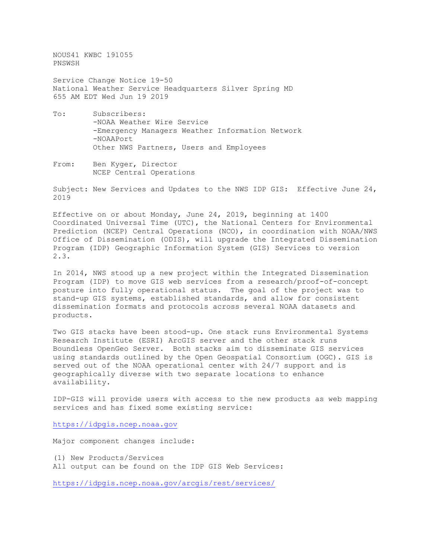NOUS41 KWBC 191055 PNSWSH

Service Change Notice 19-50 National Weather Service Headquarters Silver Spring MD 655 AM EDT Wed Jun 19 2019

- To: Subscribers: -NOAA Weather Wire Service -Emergency Managers Weather Information Network -NOAAPort Other NWS Partners, Users and Employees
- From: Ben Kyger, Director NCEP Central Operations

Subject: New Services and Updates to the NWS IDP GIS: Effective June 24, 2019

Effective on or about Monday, June 24, 2019, beginning at 1400 Coordinated Universal Time (UTC), the National Centers for Environmental Prediction (NCEP) Central Operations (NCO), in coordination with NOAA/NWS Office of Dissemination (ODIS), will upgrade the Integrated Dissemination Program (IDP) Geographic Information System (GIS) Services to version 2.3.

In 2014, NWS stood up a new project within the Integrated Dissemination Program (IDP) to move GIS web services from a research/proof-of-concept posture into fully operational status. The goal of the project was to stand-up GIS systems, established standards, and allow for consistent dissemination formats and protocols across several NOAA datasets and products.

Two GIS stacks have been stood-up. One stack runs Environmental Systems Research Institute (ESRI) ArcGIS server and the other stack runs Boundless OpenGeo Server. Both stacks aim to disseminate GIS services using standards outlined by the Open Geospatial Consortium (OGC). GIS is served out of the NOAA operational center with 24/7 support and is geographically diverse with two separate locations to enhance availability.

IDP-GIS will provide users with access to the new products as web mapping services and has fixed some existing service:

[https://idpgis.ncep.noaa.gov](https://idpgis.ncep.noaa.gov/)

Major component changes include:

- (1) New Products/Services
- All output can be found on the IDP GIS Web Services:

<https://idpgis.ncep.noaa.gov/arcgis/rest/services/>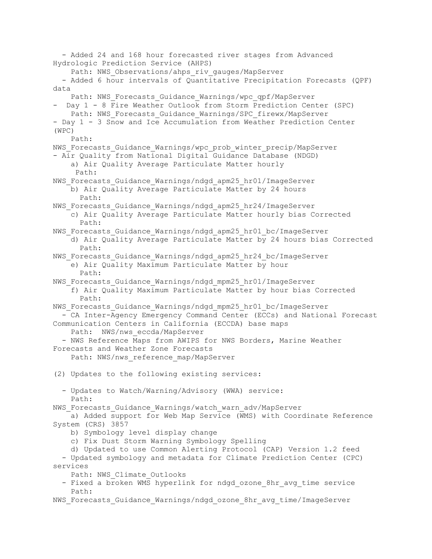- Added 24 and 168 hour forecasted river stages from Advanced Hydrologic Prediction Service (AHPS) Path: NWS Observations/ahps riv gauges/MapServer - Added 6 hour intervals of Quantitative Precipitation Forecasts (QPF) data Path: NWS Forecasts Guidance Warnings/wpc qpf/MapServer - Day 1 - 8 Fire Weather Outlook from Storm Prediction Center (SPC) Path: NWS Forecasts Guidance Warnings/SPC firewx/MapServer - Day 1 - 3 Snow and Ice Accumulation from Weather Prediction Center (WPC) Path: NWS Forecasts Guidance Warnings/wpc prob winter precip/MapServer - Air Quality from National Digital Guidance Database (NDGD) a) Air Quality Average Particulate Matter hourly Path: NWS Forecasts Guidance Warnings/ndgd apm25 hr01/ImageServer b) Air Quality Average Particulate Matter by 24 hours Path: NWS Forecasts Guidance Warnings/ndgd apm25 hr24/ImageServer c) Air Quality Average Particulate Matter hourly bias Corrected Path: NWS Forecasts Guidance Warnings/ndgd apm25 hr01 bc/ImageServer d) Air Quality Average Particulate Matter by 24 hours bias Corrected Path: NWS Forecasts Guidance Warnings/ndgd apm25 hr24 bc/ImageServer e) Air Quality Maximum Particulate Matter by hour Path: NWS Forecasts Guidance Warnings/ndgd mpm25 hr01/ImageServer f) Air Quality Maximum Particulate Matter by hour bias Corrected Path: NWS Forecasts Guidance Warnings/ndgd mpm25 hr01 bc/ImageServer - CA Inter-Agency Emergency Command Center (ECCs) and National Forecast Communication Centers in California (ECCDA) base maps Path: NWS/nws eccda/MapServer - NWS Reference Maps from AWIPS for NWS Borders, Marine Weather Forecasts and Weather Zone Forecasts Path: NWS/nws reference map/MapServer (2) Updates to the following existing services: - Updates to Watch/Warning/Advisory (WWA) service: Path: NWS Forecasts Guidance Warnings/watch warn adv/MapServer a) Added support for Web Map Service (WMS) with Coordinate Reference System (CRS) 3857 b) Symbology level display change c) Fix Dust Storm Warning Symbology Spelling d) Updated to use Common Alerting Protocol (CAP) Version 1.2 feed - Updated symbology and metadata for Climate Prediction Center (CPC) services Path: NWS\_Climate\_Outlooks - Fixed a broken WMS hyperlink for ndgd ozone 8hr avg time service Path: NWS Forecasts Guidance Warnings/ndgd ozone 8hr avg time/ImageServer